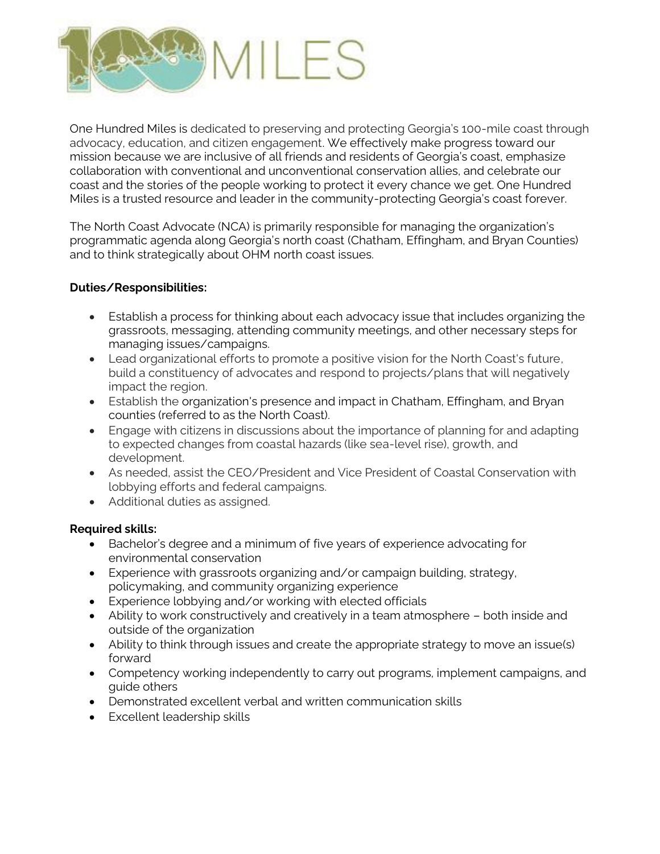

One Hundred Miles is dedicated to preserving and protecting Georgia's 100-mile coast through advocacy, education, and citizen engagement. We effectively make progress toward our mission because we are inclusive of all friends and residents of Georgia's coast, emphasize collaboration with conventional and unconventional conservation allies, and celebrate our coast and the stories of the people working to protect it every chance we get. One Hundred Miles is a trusted resource and leader in the community-protecting Georgia's coast forever.

The North Coast Advocate (NCA) is primarily responsible for managing the organization's programmatic agenda along Georgia's north coast (Chatham, Effingham, and Bryan Counties) and to think strategically about OHM north coast issues.

## **Duties/Responsibilities:**

- Establish a process for thinking about each advocacy issue that includes organizing the grassroots, messaging, attending community meetings, and other necessary steps for managing issues/campaigns.
- Lead organizational efforts to promote a positive vision for the North Coast's future, build a constituency of advocates and respond to projects/plans that will negatively impact the region.
- Establish the organization's presence and impact in Chatham, Effingham, and Bryan counties (referred to as the North Coast).
- Engage with citizens in discussions about the importance of planning for and adapting to expected changes from coastal hazards (like sea-level rise), growth, and development.
- As needed, assist the CEO/President and Vice President of Coastal Conservation with lobbying efforts and federal campaigns.
- Additional duties as assigned.

## **Required skills:**

- Bachelor's degree and a minimum of five years of experience advocating for environmental conservation
- Experience with grassroots organizing and/or campaign building, strategy, policymaking, and community organizing experience
- Experience lobbying and/or working with elected officials
- Ability to work constructively and creatively in a team atmosphere both inside and outside of the organization
- Ability to think through issues and create the appropriate strategy to move an issue(s) forward
- Competency working independently to carry out programs, implement campaigns, and guide others
- Demonstrated excellent verbal and written communication skills
- Excellent leadership skills